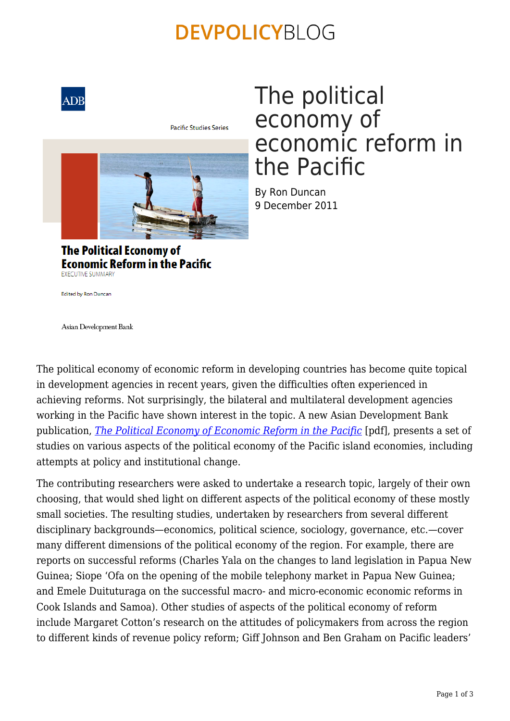### **DEVPOLICYBLOG**



**Pacific Studies Series** 



# The political economy of economic reform in the Pacific

By Ron Duncan 9 December 2011

**The Political Economy of Economic Reform in the Pacific EXECUTIVE SUMMARY** 

Edited by Ron Duncan

Asian Development Bank

The political economy of economic reform in developing countries has become quite topical in development agencies in recent years, given the difficulties often experienced in achieving reforms. Not surprisingly, the bilateral and multilateral development agencies working in the Pacific have shown interest in the topic. A new Asian Development Bank publication, *[The Political Economy of Economic Reform in the Pacific](http://www.adb.org/documents/studies/political-economy-economic-reform-pac/political-economy-economic-reform-pac.pdf)* [pdf], presents a set of studies on various aspects of the political economy of the Pacific island economies, including attempts at policy and institutional change.

The contributing researchers were asked to undertake a research topic, largely of their own choosing, that would shed light on different aspects of the political economy of these mostly small societies. The resulting studies, undertaken by researchers from several different disciplinary backgrounds—economics, political science, sociology, governance, etc.—cover many different dimensions of the political economy of the region. For example, there are reports on successful reforms (Charles Yala on the changes to land legislation in Papua New Guinea; Siope 'Ofa on the opening of the mobile telephony market in Papua New Guinea; and Emele Duituturaga on the successful macro- and micro-economic economic reforms in Cook Islands and Samoa). Other studies of aspects of the political economy of reform include Margaret Cotton's research on the attitudes of policymakers from across the region to different kinds of revenue policy reform; Giff Johnson and Ben Graham on Pacific leaders'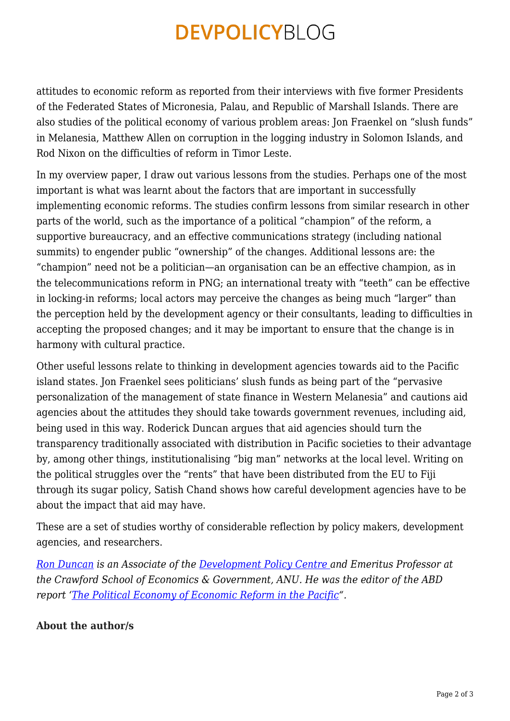## **DEVPOLICYBLOG**

attitudes to economic reform as reported from their interviews with five former Presidents of the Federated States of Micronesia, Palau, and Republic of Marshall Islands. There are also studies of the political economy of various problem areas: Jon Fraenkel on "slush funds" in Melanesia, Matthew Allen on corruption in the logging industry in Solomon Islands, and Rod Nixon on the difficulties of reform in Timor Leste.

In my overview paper, I draw out various lessons from the studies. Perhaps one of the most important is what was learnt about the factors that are important in successfully implementing economic reforms. The studies confirm lessons from similar research in other parts of the world, such as the importance of a political "champion" of the reform, a supportive bureaucracy, and an effective communications strategy (including national summits) to engender public "ownership" of the changes. Additional lessons are: the "champion" need not be a politician—an organisation can be an effective champion, as in the telecommunications reform in PNG; an international treaty with "teeth" can be effective in locking-in reforms; local actors may perceive the changes as being much "larger" than the perception held by the development agency or their consultants, leading to difficulties in accepting the proposed changes; and it may be important to ensure that the change is in harmony with cultural practice.

Other useful lessons relate to thinking in development agencies towards aid to the Pacific island states. Jon Fraenkel sees politicians' slush funds as being part of the "pervasive personalization of the management of state finance in Western Melanesia" and cautions aid agencies about the attitudes they should take towards government revenues, including aid, being used in this way. Roderick Duncan argues that aid agencies should turn the transparency traditionally associated with distribution in Pacific societies to their advantage by, among other things, institutionalising "big man" networks at the local level. Writing on the political struggles over the "rents" that have been distributed from the EU to Fiji through its sugar policy, Satish Chand shows how careful development agencies have to be about the impact that aid may have.

These are a set of studies worthy of considerable reflection by policy makers, development agencies, and researchers.

*[Ron Duncan](http://www.crawford.anu.edu.au/staff/rduncan.php) is an Associate of the [Development Policy Centre a](http://devpolicy.anu.edu.au)nd Emeritus Professor at the Crawford School of Economics & Government, ANU. He was the editor of the ABD report '[The Political Economy of Economic Reform in the Pacific"](http://beta.adb.org/publications/political-economy-economic-reform-pacific).*

#### **About the author/s**